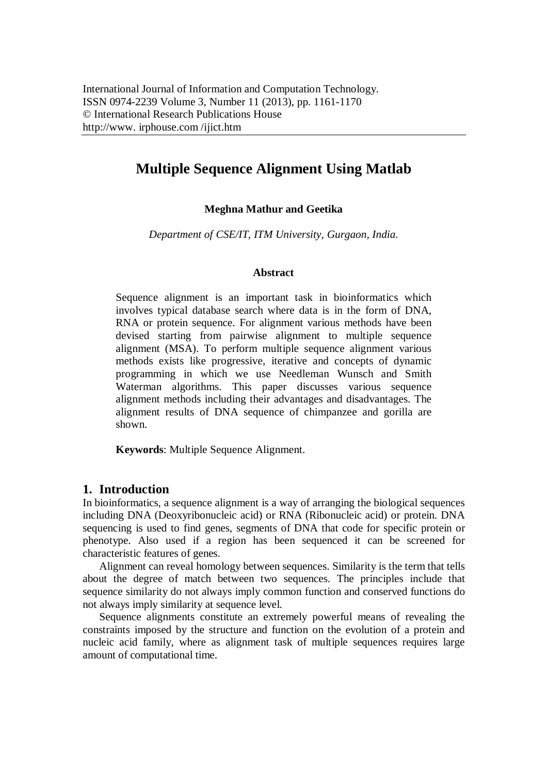# **Multiple Sequence Alignment Using Matlab**

## **Meghna Mathur and Geetika**

*Department of CSE/IT, ITM University, Gurgaon, India.*

#### **Abstract**

Sequence alignment is an important task in bioinformatics which involves typical database search where data is in the form of DNA, RNA or protein sequence. For alignment various methods have been devised starting from pairwise alignment to multiple sequence alignment (MSA). To perform multiple sequence alignment various methods exists like progressive, iterative and concepts of dynamic programming in which we use Needleman Wunsch and Smith Waterman algorithms. This paper discusses various sequence alignment methods including their advantages and disadvantages. The alignment results of DNA sequence of chimpanzee and gorilla are shown.

**Keywords**: Multiple Sequence Alignment.

# **1. Introduction**

In bioinformatics, a sequence alignment is a way of arranging the biological sequences including DNA (Deoxyribonucleic acid) or RNA (Ribonucleic acid) or protein. DNA sequencing is used to find genes, segments of DNA that code for specific protein or phenotype. Also used if a region has been sequenced it can be screened for characteristic features of genes.

Alignment can reveal homology between sequences. Similarity is the term that tells about the degree of match between two sequences. The principles include that sequence similarity do not always imply common function and conserved functions do not always imply similarity at sequence level.

Sequence alignments constitute an extremely powerful means of revealing the constraints imposed by the structure and function on the evolution of a protein and nucleic acid family, where as alignment task of multiple sequences requires large amount of computational time.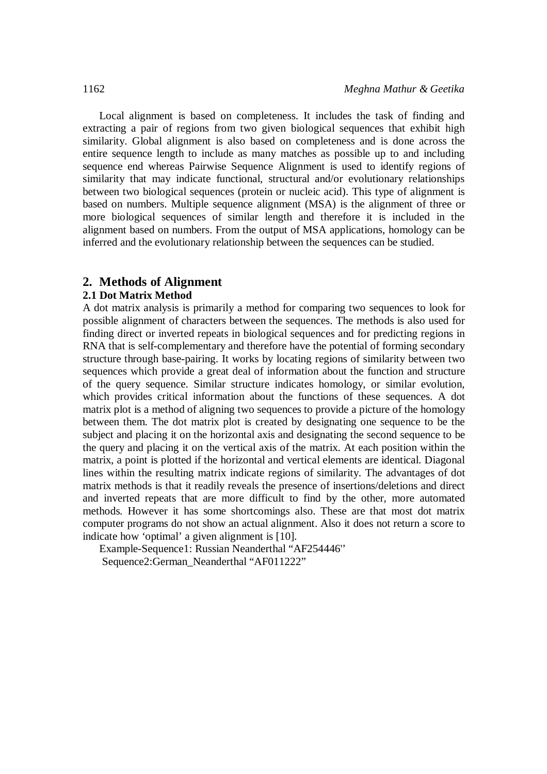Local alignment is based on completeness. It includes the task of finding and extracting a pair of regions from two given biological sequences that exhibit high similarity. Global alignment is also based on completeness and is done across the entire sequence length to include as many matches as possible up to and including sequence end whereas Pairwise Sequence Alignment is used to identify regions of similarity that may indicate functional, structural and/or evolutionary relationships between two biological sequences (protein or nucleic acid). This type of alignment is based on numbers. Multiple sequence alignment (MSA) is the alignment of three or more biological sequences of similar length and therefore it is included in the alignment based on numbers. From the output of MSA applications, homology can be inferred and the evolutionary relationship between the sequences can be studied.

### **2. Methods of Alignment**

#### **2.1 Dot Matrix Method**

A dot matrix analysis is primarily a method for comparing two sequences to look for possible alignment of characters between the sequences. The methods is also used for finding direct or inverted repeats in biological sequences and for predicting regions in RNA that is self-complementary and therefore have the potential of forming secondary structure through base-pairing. It works by locating regions of similarity between two sequences which provide a great deal of information about the function and structure of the query sequence. Similar structure indicates homology, or similar evolution, which provides critical information about the functions of these sequences. A dot matrix plot is a method of aligning two sequences to provide a picture of the homology between them. The dot matrix plot is created by designating one sequence to be the subject and placing it on the horizontal axis and designating the second sequence to be the query and placing it on the vertical axis of the matrix. At each position within the matrix, a point is plotted if the horizontal and vertical elements are identical. Diagonal lines within the resulting matrix indicate regions of similarity. The advantages of dot matrix methods is that it readily reveals the presence of insertions/deletions and direct and inverted repeats that are more difficult to find by the other, more automated methods. However it has some shortcomings also. These are that most dot matrix computer programs do not show an actual alignment. Also it does not return a score to indicate how 'optimal' a given alignment is [10].

Example-Sequence1: Russian Neanderthal "AF254446'' Sequence2:German\_Neanderthal "AF011222"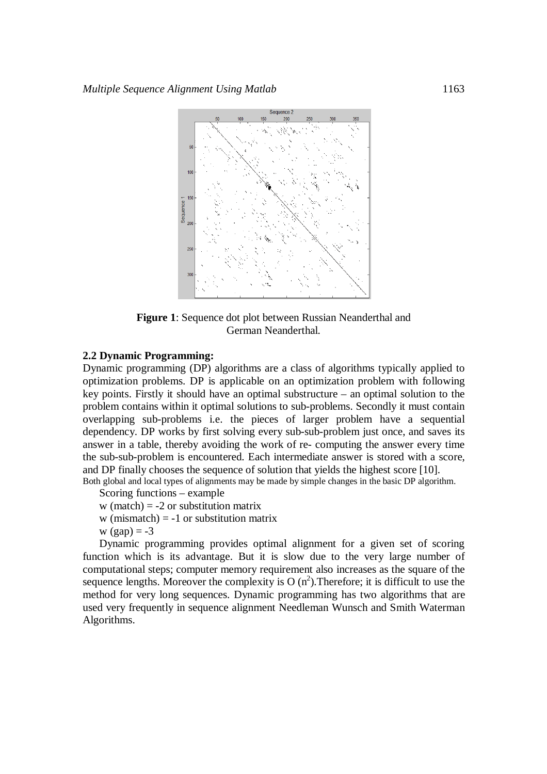

**Figure 1**: Sequence dot plot between Russian Neanderthal and German Neanderthal.

#### **2.2 Dynamic Programming:**

Dynamic programming (DP) algorithms are a class of algorithms typically applied to optimization problems. DP is applicable on an optimization problem with following key points. Firstly it should have an optimal substructure – an optimal solution to the problem contains within it optimal solutions to sub-problems. Secondly it must contain overlapping sub-problems i.e. the pieces of larger problem have a sequential dependency. DP works by first solving every sub-sub-problem just once, and saves its answer in a table, thereby avoiding the work of re- computing the answer every time the sub-sub-problem is encountered. Each intermediate answer is stored with a score, and DP finally chooses the sequence of solution that yields the highest score [10].

Both global and local types of alignments may be made by simple changes in the basic DP algorithm.

Scoring functions – example

- w (match)  $= -2$  or substitution matrix
- w (mismatch)  $= -1$  or substitution matrix
- w  $(gap) = -3$

Dynamic programming provides optimal alignment for a given set of scoring function which is its advantage. But it is slow due to the very large number of computational steps; computer memory requirement also increases as the square of the sequence lengths. Moreover the complexity is  $O(n^2)$ . Therefore; it is difficult to use the method for very long sequences. Dynamic programming has two algorithms that are used very frequently in sequence alignment Needleman Wunsch and Smith Waterman Algorithms.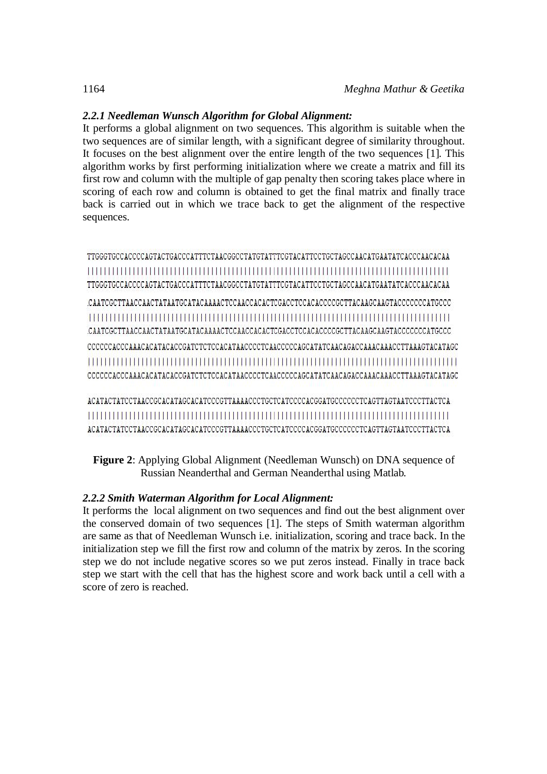# *2.2.1 Needleman Wunsch Algorithm for Global Alignment:*

It performs a global alignment on two sequences. This algorithm is suitable when the two sequences are of similar length, with a significant degree of similarity throughout. It focuses on the best alignment over the entire length of the two sequences [1]. This algorithm works by first performing initialization where we create a matrix and fill its first row and column with the multiple of gap penalty then scoring takes place where in scoring of each row and column is obtained to get the final matrix and finally trace back is carried out in which we trace back to get the alignment of the respective sequences.

TTGGGTGCCACCCAGTACTGACCCATTTCTAACGGCCTATGTATTTCGTACATTCCTGCTAGCCAACATGAATATCACCCAACACAA TTGGGTGCCACCCCAGTACTGACCCATTTCTAACGGCCTATGTATTTCGTACATTCCTGCTAGCCAACATGAATATCACCCAACACAA 

ACATACTATCCTAACCGCACATAGCACATCCCGTTAAAACCCTGCTCATCCCCACGGATGCCCCCCTCAGTTAGTAATCCCTTACTCA ACATACTATCCTAACCGCACATAGCACATCCCGTTAAAACCCTGCTCATCCCCCACGGATGCCCCCCCTCAGTTAGTAATCCCTTACTCA

**Figure 2**: Applying Global Alignment (Needleman Wunsch) on DNA sequence of Russian Neanderthal and German Neanderthal using Matlab.

# *2.2.2 Smith Waterman Algorithm for Local Alignment:*

It performs the local alignment on two sequences and find out the best alignment over the conserved domain of two sequences [1]. The steps of Smith waterman algorithm are same as that of Needleman Wunsch i.e. initialization, scoring and trace back. In the initialization step we fill the first row and column of the matrix by zeros. In the scoring step we do not include negative scores so we put zeros instead. Finally in trace back step we start with the cell that has the highest score and work back until a cell with a score of zero is reached.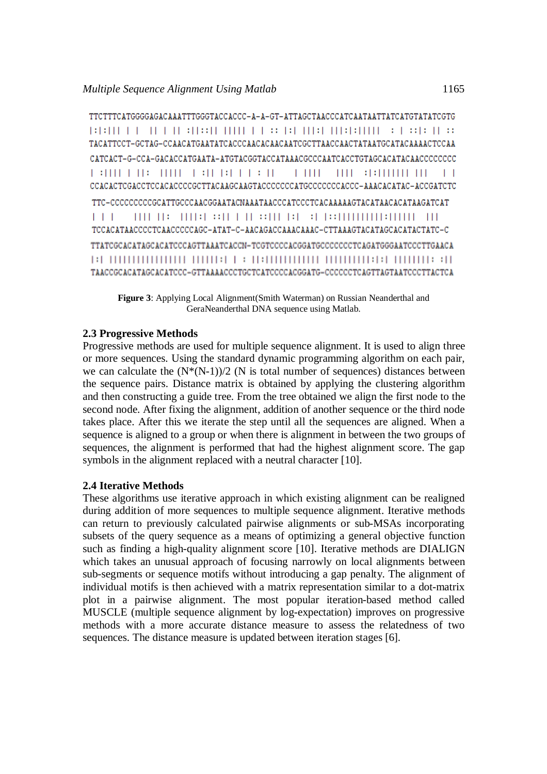TTCTTTCATGGGGAGACAAATTTGGGTACCACCC-A-A-GT-ATTAGCTAACCCATCAATAATTATCATGTATATCGTG BRITT FOR THE REGISTRATION OF THE THEFTING OF GROUPS.  $\mathbf{L}$ CCACACTCGACCTCCACACCCCGCTTACAAGCAAGTACCCCCCCATGCCCCCCACCC-AAACACATAC-ACCGATCTC TTC-CCCCCCCCCGCATTGCCCAACGGAATACNAAATAACCCATCCCTCACAAAAAGTACATAACACATAAGATCAT THE REAL REPORT OF BUILDING AND COMMUNISIONS AND  $1 + 1$ TCCACATAACCCCTCAACCCCCAGC-ATAT-C-AACAGACCAAACAAAC-CTTAAAGTACATAGCACATACTATC-C TTATCGCACATAGCACATCCCAGTTAAATCACCN-TCGTCCCCACGGATGCCCCCCCTCAGATGGGAATCCCTTGAACA TAACCGCACATAGCACATCCC-GTTAAAACCCTGCTCATCCCCACGGATG-CCCCCCTCAGTTAGTAATCCCTTACTCA

**Figure 3**: Applying Local Alignment(Smith Waterman) on Russian Neanderthal and GeraNeanderthal DNA sequence using Matlab.

#### **2.3 Progressive Methods**

Progressive methods are used for multiple sequence alignment. It is used to align three or more sequences. Using the standard dynamic programming algorithm on each pair, we can calculate the  $(N*(N-1))/2$  (N is total number of sequences) distances between the sequence pairs. Distance matrix is obtained by applying the clustering algorithm and then constructing a guide tree. From the tree obtained we align the first node to the second node. After fixing the alignment, addition of another sequence or the third node takes place. After this we iterate the step until all the sequences are aligned. When a sequence is aligned to a group or when there is alignment in between the two groups of sequences, the alignment is performed that had the highest alignment score. The gap symbols in the alignment replaced with a neutral character [10].

### **2.4 Iterative Methods**

These algorithms use iterative approach in which existing alignment can be realigned during addition of more sequences to multiple sequence alignment. Iterative methods can return to previously calculated pairwise alignments or sub-MSAs incorporating subsets of the query sequence as a means of optimizing a general objective function such as finding a high-quality alignment score [10]. Iterative methods are DIALIGN which takes an unusual approach of focusing narrowly on local alignments between sub-segments or sequence motifs without introducing a gap penalty. The alignment of individual motifs is then achieved with a matrix representation similar to a dot-matrix plot in a pairwise alignment. The most popular iteration-based method called MUSCLE (multiple sequence alignment by log-expectation) improves on progressive methods with a more accurate distance measure to assess the relatedness of two sequences. The distance measure is updated between iteration stages [6].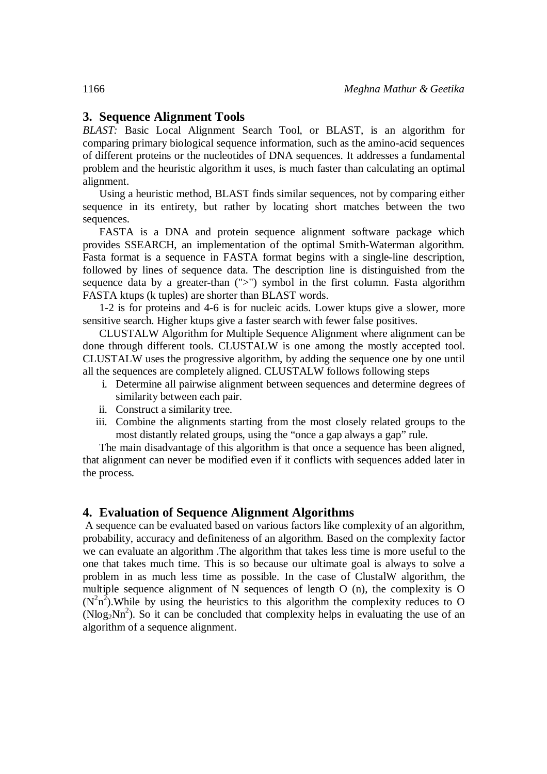# **3. Sequence Alignment Tools**

*BLAST:* Basic Local Alignment Search Tool, or BLAST, is an algorithm for comparing primary biological sequence information, such as the amino-acid sequences of different proteins or the nucleotides of DNA sequences. It addresses a fundamental problem and the heuristic algorithm it uses, is much faster than calculating an optimal alignment.

Using a heuristic method, BLAST finds similar sequences, not by comparing either sequence in its entirety, but rather by locating short matches between the two sequences.

FASTA is a DNA and protein sequence alignment software package which provides SSEARCH, an implementation of the optimal Smith-Waterman algorithm. Fasta format is a sequence in FASTA format begins with a single-line description, followed by lines of sequence data. The description line is distinguished from the sequence data by a greater-than (">") symbol in the first column. Fasta algorithm FASTA ktups (k tuples) are shorter than BLAST words.

1-2 is for proteins and 4-6 is for nucleic acids. Lower ktups give a slower, more sensitive search. Higher ktups give a faster search with fewer false positives.

CLUSTALW Algorithm for Multiple Sequence Alignment where alignment can be done through different tools. CLUSTALW is one among the mostly accepted tool. CLUSTALW uses the progressive algorithm, by adding the sequence one by one until all the sequences are completely aligned. CLUSTALW follows following steps

- i. Determine all pairwise alignment between sequences and determine degrees of similarity between each pair.
- ii. Construct a similarity tree.
- iii. Combine the alignments starting from the most closely related groups to the most distantly related groups, using the "once a gap always a gap" rule.

The main disadvantage of this algorithm is that once a sequence has been aligned, that alignment can never be modified even if it conflicts with sequences added later in the process.

#### **4. Evaluation of Sequence Alignment Algorithms**

A sequence can be evaluated based on various factors like complexity of an algorithm, probability, accuracy and definiteness of an algorithm. Based on the complexity factor we can evaluate an algorithm .The algorithm that takes less time is more useful to the one that takes much time. This is so because our ultimate goal is always to solve a problem in as much less time as possible. In the case of ClustalW algorithm, the multiple sequence alignment of N sequences of length O (n), the complexity is O  $(N^2n^2)$ . While by using the heuristics to this algorithm the complexity reduces to O  $(N\log_2 Nn^2)$ . So it can be concluded that complexity helps in evaluating the use of an algorithm of a sequence alignment.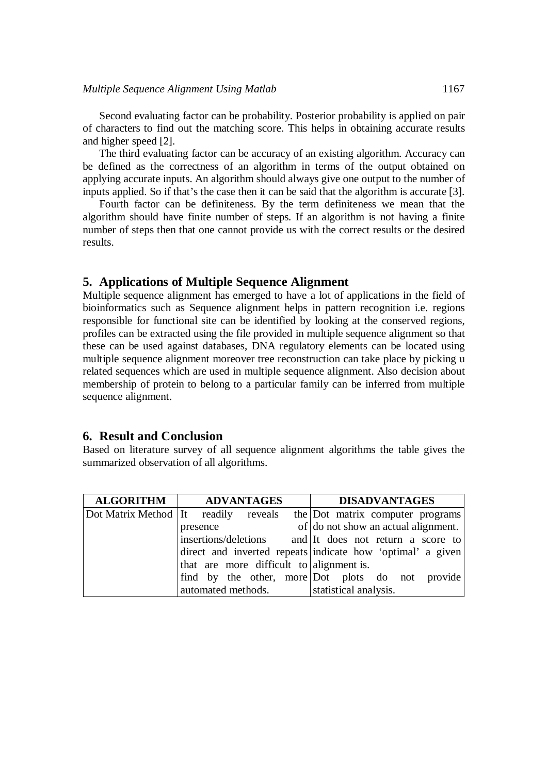#### *Multiple Sequence Alignment Using Matlab* 1167

Second evaluating factor can be probability. Posterior probability is applied on pair of characters to find out the matching score. This helps in obtaining accurate results and higher speed [2].

The third evaluating factor can be accuracy of an existing algorithm. Accuracy can be defined as the correctness of an algorithm in terms of the output obtained on applying accurate inputs. An algorithm should always give one output to the number of inputs applied. So if that's the case then it can be said that the algorithm is accurate [3].

Fourth factor can be definiteness. By the term definiteness we mean that the algorithm should have finite number of steps. If an algorithm is not having a finite number of steps then that one cannot provide us with the correct results or the desired results.

### **5. Applications of Multiple Sequence Alignment**

Multiple sequence alignment has emerged to have a lot of applications in the field of bioinformatics such as Sequence alignment helps in pattern recognition i.e. regions responsible for functional site can be identified by looking at the conserved regions, profiles can be extracted using the file provided in multiple sequence alignment so that these can be used against databases, DNA regulatory elements can be located using multiple sequence alignment moreover tree reconstruction can take place by picking u related sequences which are used in multiple sequence alignment. Also decision about membership of protein to belong to a particular family can be inferred from multiple sequence alignment.

#### **6. Result and Conclusion**

Based on literature survey of all sequence alignment algorithms the table gives the summarized observation of all algorithms.

| <b>ALGORITHM</b> | ADVANTAGES                               | <b>DISADVANTAGES</b>                                                  |
|------------------|------------------------------------------|-----------------------------------------------------------------------|
|                  |                                          | Dot Matrix Method It readily reveals the Dot matrix computer programs |
|                  | presence                                 | of do not show an actual alignment.                                   |
|                  |                                          | insertions/deletions and It does not return a score to                |
|                  |                                          | direct and inverted repeats indicate how 'optimal' a given            |
|                  | that are more difficult to alignment is. |                                                                       |
|                  |                                          | find by the other, more Dot plots do not provide                      |
|                  | automated methods.                       | statistical analysis.                                                 |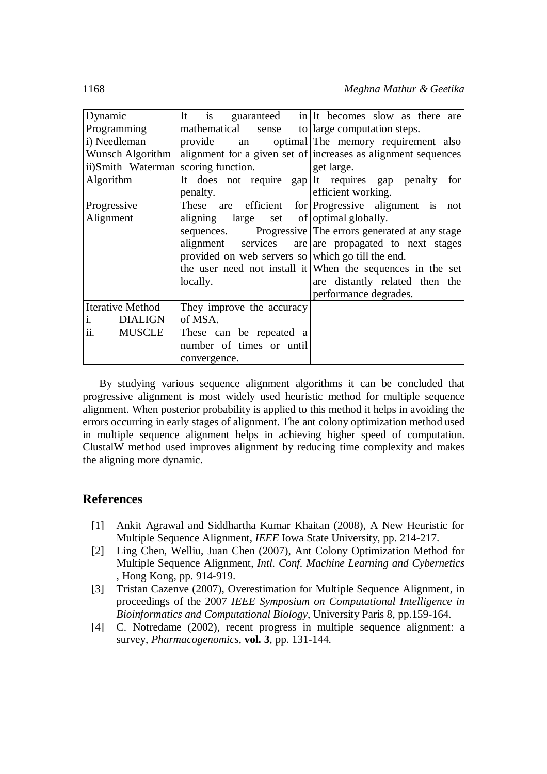| Dynamic                          | It is<br>guaranteed in It becomes slow as there are           |
|----------------------------------|---------------------------------------------------------------|
| Programming                      | mathematical sense<br>to large computation steps.             |
| i) Needleman                     | optimal The memory requirement also<br>provide an             |
| Wunsch Algorithm                 | alignment for a given set of increases as alignment sequences |
| ii)Smith Waterman                | scoring function.<br>get large.                               |
| Algorithm                        | It does not require gap It requires gap penalty for           |
|                                  | efficient working.<br>penalty.                                |
| Progressive                      | These are efficient for Progressive alignment is not          |
| Alignment                        | large set of optimal globally.<br>aligning                    |
|                                  | Progressive The errors generated at any stage<br>sequences.   |
|                                  | alignment services are are propagated to next stages          |
|                                  | provided on web servers so which go till the end.             |
|                                  | the user need not install it When the sequences in the set    |
|                                  | are distantly related then the<br>locally.                    |
|                                  | performance degrades.                                         |
| <b>Iterative Method</b>          | They improve the accuracy                                     |
| <b>DIALIGN</b><br>$\mathbf{i}$ . | of MSA.                                                       |
| ii.<br><b>MUSCLE</b>             | These can be repeated a                                       |
|                                  | number of times or until                                      |
|                                  | convergence.                                                  |

By studying various sequence alignment algorithms it can be concluded that progressive alignment is most widely used heuristic method for multiple sequence alignment. When posterior probability is applied to this method it helps in avoiding the errors occurring in early stages of alignment. The ant colony optimization method used in multiple sequence alignment helps in achieving higher speed of computation. ClustalW method used improves alignment by reducing time complexity and makes the aligning more dynamic.

# **References**

- [1] Ankit Agrawal and Siddhartha Kumar Khaitan (2008), A New Heuristic for Multiple Sequence Alignment, *IEEE* Iowa State University, pp. 214-217.
- [2] Ling Chen, Welliu, Juan Chen (2007), Ant Colony Optimization Method for Multiple Sequence Alignment, *Intl. Conf. Machine Learning and Cybernetics* , Hong Kong, pp. 914-919.
- [3] Tristan Cazenve (2007), Overestimation for Multiple Sequence Alignment, in proceedings of the 2007 *IEEE Symposium on Computational Intelligence in Bioinformatics and Computational Biology*, University Paris 8, pp.159-164.
- [4] C. Notredame (2002), recent progress in multiple sequence alignment: a survey, *Pharmacogenomics*, **vol. 3**, pp. 131-144.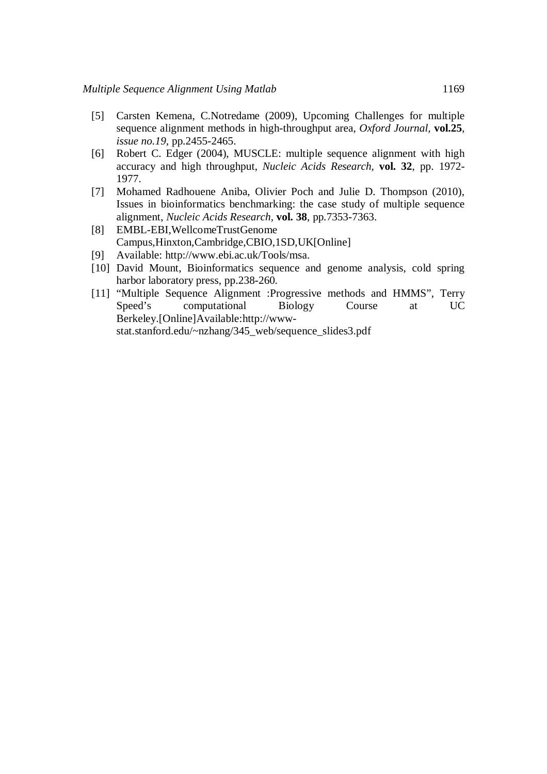- [5] Carsten Kemena, C.Notredame (2009), Upcoming Challenges for multiple sequence alignment methods in high-throughput area, *Oxford Journal,* **vol.25**, *issue no.19,* pp.2455-2465.
- [6] Robert C. Edger (2004), MUSCLE: multiple sequence alignment with high accuracy and high throughput, *Nucleic Acids Research,* **vol. 32**, pp. 1972- 1977.
- [7] Mohamed Radhouene Aniba, Olivier Poch and Julie D. Thompson (2010), Issues in bioinformatics benchmarking: the case study of multiple sequence alignment, *Nucleic Acids Research,* **vol. 38**, pp.7353-7363.
- [8] EMBL-EBI,WellcomeTrustGenome Campus,Hinxton,Cambridge,CBIO,1SD,UK[Online]
- [9] Available: http://www.ebi.ac.uk/Tools/msa.
- [10] David Mount, Bioinformatics sequence and genome analysis, cold spring harbor laboratory press, pp.238-260.
- [11] "Multiple Sequence Alignment :Progressive methods and HMMS", Terry Speed's computational Biology Course at UC Berkeley.[Online]Available:http://wwwstat.stanford.edu/~nzhang/345\_web/sequence\_slides3.pdf